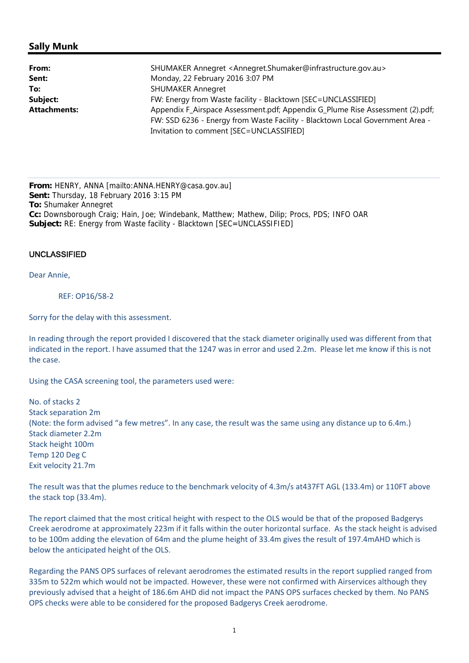# **Sally Munk**

| From:               | SHUMAKER Annegret <annegret.shumaker@infrastructure.gov.au></annegret.shumaker@infrastructure.gov.au> |
|---------------------|-------------------------------------------------------------------------------------------------------|
| Sent:               | Monday, 22 February 2016 3:07 PM                                                                      |
| To:                 | <b>SHUMAKER Annegret</b>                                                                              |
| Subject:            | FW: Energy from Waste facility - Blacktown [SEC=UNCLASSIFIED]                                         |
| <b>Attachments:</b> | Appendix F_Airspace Assessment.pdf; Appendix G_Plume Rise Assessment (2).pdf;                         |
|                     | FW: SSD 6236 - Energy from Waste Facility - Blacktown Local Government Area -                         |
|                     | Invitation to comment [SEC=UNCLASSIFIED]                                                              |

**From:** HENRY, ANNA [mailto:ANNA.HENRY@casa.gov.au] **Sent:** Thursday, 18 February 2016 3:15 PM **To:** Shumaker Annegret **Cc:** Downsborough Craig; Hain, Joe; Windebank, Matthew; Mathew, Dilip; Procs, PDS; INFO OAR **Subject:** RE: Energy from Waste facility - Blacktown [SEC=UNCLASSIFIED]

### UNCLASSIFIED

Dear Annie,

#### REF: OP16/58‐2

Sorry for the delay with this assessment.

In reading through the report provided I discovered that the stack diameter originally used was different from that indicated in the report. I have assumed that the 1247 was in error and used 2.2m. Please let me know if this is not the case.

Using the CASA screening tool, the parameters used were:

No. of stacks 2 Stack separation 2m (Note: the form advised "a few metres". In any case, the result was the same using any distance up to 6.4m.) Stack diameter 2.2m Stack height 100m Temp 120 Deg C Exit velocity 21.7m

The result was that the plumes reduce to the benchmark velocity of 4.3m/s at437FT AGL (133.4m) or 110FT above the stack top (33.4m).

The report claimed that the most critical height with respect to the OLS would be that of the proposed Badgerys Creek aerodrome at approximately 223m if it falls within the outer horizontal surface. As the stack height is advised to be 100m adding the elevation of 64m and the plume height of 33.4m gives the result of 197.4mAHD which is below the anticipated height of the OLS.

Regarding the PANS OPS surfaces of relevant aerodromes the estimated results in the report supplied ranged from 335m to 522m which would not be impacted. However, these were not confirmed with Airservices although they previously advised that a height of 186.6m AHD did not impact the PANS OPS surfaces checked by them. No PANS OPS checks were able to be considered for the proposed Badgerys Creek aerodrome.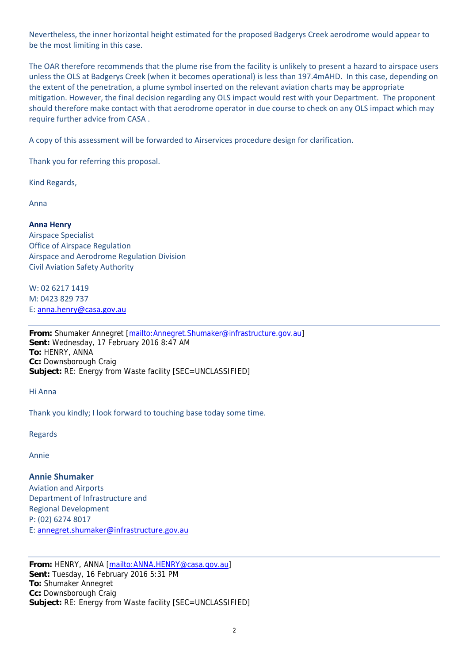Nevertheless, the inner horizontal height estimated for the proposed Badgerys Creek aerodrome would appear to be the most limiting in this case.

The OAR therefore recommends that the plume rise from the facility is unlikely to present a hazard to airspace users unless the OLS at Badgerys Creek (when it becomes operational) is less than 197.4mAHD. In this case, depending on the extent of the penetration, a plume symbol inserted on the relevant aviation charts may be appropriate mitigation. However, the final decision regarding any OLS impact would rest with your Department. The proponent should therefore make contact with that aerodrome operator in due course to check on any OLS impact which may require further advice from CASA .

A copy of this assessment will be forwarded to Airservices procedure design for clarification.

Thank you for referring this proposal.

Kind Regards,

Anna

## **Anna Henry**

Airspace Specialist Office of Airspace Regulation Airspace and Aerodrome Regulation Division Civil Aviation Safety Authority

W: 02 6217 1419 M: 0423 829 737 E: anna.henry@casa.gov.au

**From:** Shumaker Annegret [mailto:Annegret.Shumaker@infrastructure.gov.au] **Sent:** Wednesday, 17 February 2016 8:47 AM **To:** HENRY, ANNA **Cc:** Downsborough Craig **Subject:** RE: Energy from Waste facility [SEC=UNCLASSIFIED]

Hi Anna

Thank you kindly; I look forward to touching base today some time.

Regards

Annie

### **Annie Shumaker**

Aviation and Airports Department of Infrastructure and Regional Development P: (02) 6274 8017 E: annegret.shumaker@infrastructure.gov.au

**From:** HENRY, ANNA [mailto:ANNA.HENRY@casa.gov.au] **Sent:** Tuesday, 16 February 2016 5:31 PM **To:** Shumaker Annegret **Cc:** Downsborough Craig **Subject:** RE: Energy from Waste facility [SEC=UNCLASSIFIED]